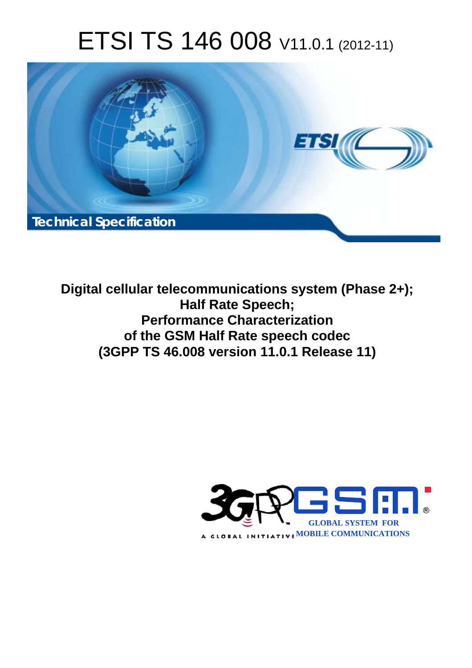# ETSI TS 146 008 V11.0.1 (2012-11)



**Digital cellular telecommunications system (Phase 2+); Half Rate Speech; Performance Characterization of the GSM Half Rate speech codec (3GPP TS 46.008 version 11.0.1 Release 11)** 

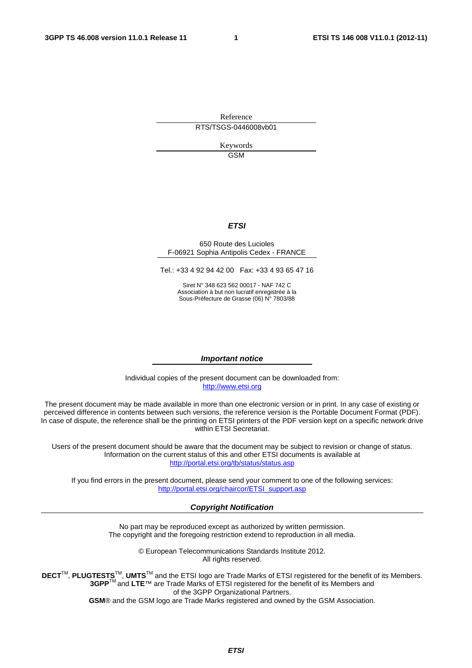Reference RTS/TSGS-0446008vb01

> Keywords GSM

#### *ETSI*

#### 650 Route des Lucioles F-06921 Sophia Antipolis Cedex - FRANCE

Tel.: +33 4 92 94 42 00 Fax: +33 4 93 65 47 16

Siret N° 348 623 562 00017 - NAF 742 C Association à but non lucratif enregistrée à la Sous-Préfecture de Grasse (06) N° 7803/88

#### *Important notice*

Individual copies of the present document can be downloaded from: [http://www.etsi.org](http://www.etsi.org/)

The present document may be made available in more than one electronic version or in print. In any case of existing or perceived difference in contents between such versions, the reference version is the Portable Document Format (PDF). In case of dispute, the reference shall be the printing on ETSI printers of the PDF version kept on a specific network drive within ETSI Secretariat.

Users of the present document should be aware that the document may be subject to revision or change of status. Information on the current status of this and other ETSI documents is available at <http://portal.etsi.org/tb/status/status.asp>

If you find errors in the present document, please send your comment to one of the following services: [http://portal.etsi.org/chaircor/ETSI\\_support.asp](http://portal.etsi.org/chaircor/ETSI_support.asp)

#### *Copyright Notification*

No part may be reproduced except as authorized by written permission. The copyright and the foregoing restriction extend to reproduction in all media.

> © European Telecommunications Standards Institute 2012. All rights reserved.

**DECT**TM, **PLUGTESTS**TM, **UMTS**TM and the ETSI logo are Trade Marks of ETSI registered for the benefit of its Members. **3GPP**TM and **LTE**™ are Trade Marks of ETSI registered for the benefit of its Members and of the 3GPP Organizational Partners.

**GSM**® and the GSM logo are Trade Marks registered and owned by the GSM Association.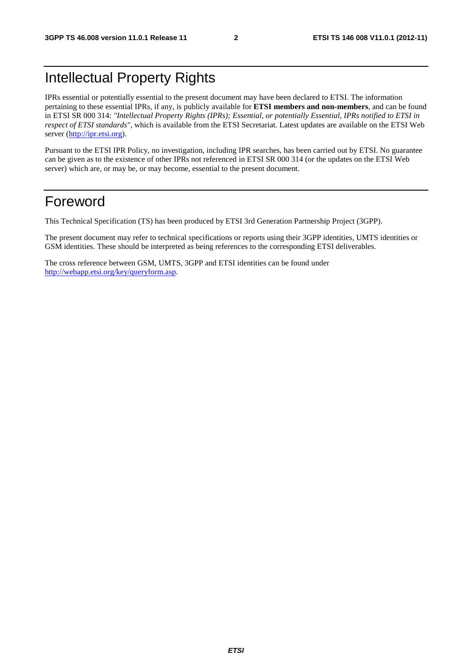# Intellectual Property Rights

IPRs essential or potentially essential to the present document may have been declared to ETSI. The information pertaining to these essential IPRs, if any, is publicly available for **ETSI members and non-members**, and can be found in ETSI SR 000 314: *"Intellectual Property Rights (IPRs); Essential, or potentially Essential, IPRs notified to ETSI in respect of ETSI standards"*, which is available from the ETSI Secretariat. Latest updates are available on the ETSI Web server [\(http://ipr.etsi.org](http://webapp.etsi.org/IPR/home.asp)).

Pursuant to the ETSI IPR Policy, no investigation, including IPR searches, has been carried out by ETSI. No guarantee can be given as to the existence of other IPRs not referenced in ETSI SR 000 314 (or the updates on the ETSI Web server) which are, or may be, or may become, essential to the present document.

# Foreword

This Technical Specification (TS) has been produced by ETSI 3rd Generation Partnership Project (3GPP).

The present document may refer to technical specifications or reports using their 3GPP identities, UMTS identities or GSM identities. These should be interpreted as being references to the corresponding ETSI deliverables.

The cross reference between GSM, UMTS, 3GPP and ETSI identities can be found under [http://webapp.etsi.org/key/queryform.asp.](http://webapp.etsi.org/key/queryform.asp)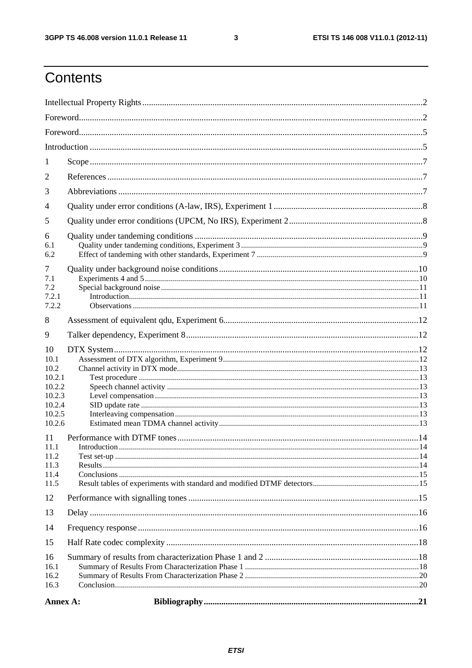$\mathbf{3}$ 

# Contents

| 1                            |  |
|------------------------------|--|
| 2                            |  |
| 3                            |  |
| 4                            |  |
| 5                            |  |
| 6<br>6.1<br>6.2              |  |
| 7                            |  |
| 7.1<br>7.2                   |  |
| 7.2.1                        |  |
| 7.2.2                        |  |
| 8                            |  |
| 9                            |  |
| 10<br>10.1<br>10.2<br>10.2.1 |  |
| 10.2.2                       |  |
| 10.2.3<br>10.2.4             |  |
| 10.2.5                       |  |
| 10.2.6                       |  |
| 11<br>11.1                   |  |
| 11.2                         |  |
| 11.3<br>11.4                 |  |
| 11.5                         |  |
| 12                           |  |
| 13                           |  |
| 14                           |  |
| 15                           |  |
| 16<br>16.1<br>16.2<br>16.3   |  |
| Annex A:                     |  |
|                              |  |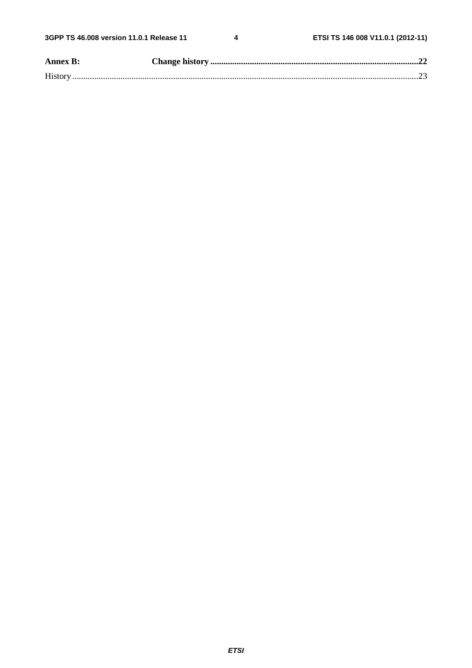$\overline{\mathbf{4}}$ 

| <b>Annex B:</b> |  |
|-----------------|--|
|                 |  |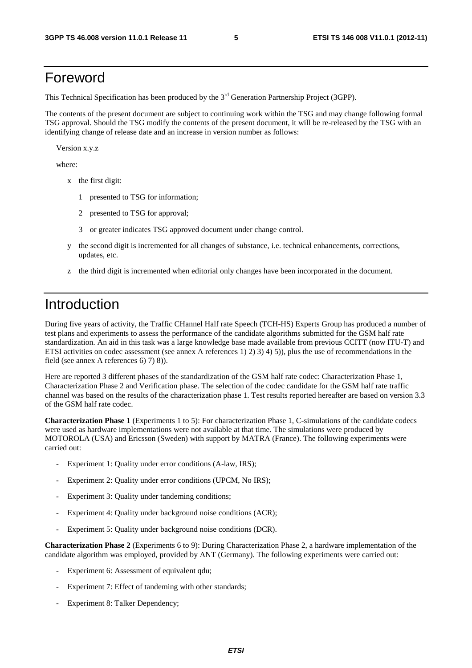# Foreword

This Technical Specification has been produced by the 3<sup>rd</sup> Generation Partnership Project (3GPP).

The contents of the present document are subject to continuing work within the TSG and may change following formal TSG approval. Should the TSG modify the contents of the present document, it will be re-released by the TSG with an identifying change of release date and an increase in version number as follows:

Version x.y.z

where:

- x the first digit:
	- 1 presented to TSG for information;
	- 2 presented to TSG for approval;
	- 3 or greater indicates TSG approved document under change control.
- y the second digit is incremented for all changes of substance, i.e. technical enhancements, corrections, updates, etc.
- z the third digit is incremented when editorial only changes have been incorporated in the document.

### Introduction

During five years of activity, the Traffic CHannel Half rate Speech (TCH-HS) Experts Group has produced a number of test plans and experiments to assess the performance of the candidate algorithms submitted for the GSM half rate standardization. An aid in this task was a large knowledge base made available from previous CCITT (now ITU-T) and ETSI activities on codec assessment (see annex A references 1) 2) 3) 4) 5)), plus the use of recommendations in the field (see annex A references 6) 7) 8)).

Here are reported 3 different phases of the standardization of the GSM half rate codec: Characterization Phase 1, Characterization Phase 2 and Verification phase. The selection of the codec candidate for the GSM half rate traffic channel was based on the results of the characterization phase 1. Test results reported hereafter are based on version 3.3 of the GSM half rate codec.

**Characterization Phase 1** (Experiments 1 to 5): For characterization Phase 1, C-simulations of the candidate codecs were used as hardware implementations were not available at that time. The simulations were produced by MOTOROLA (USA) and Ericsson (Sweden) with support by MATRA (France). The following experiments were carried out:

- Experiment 1: Quality under error conditions (A-law, IRS);
- Experiment 2: Quality under error conditions (UPCM, No IRS);
- Experiment 3: Quality under tandeming conditions;
- Experiment 4: Quality under background noise conditions (ACR);
- Experiment 5: Quality under background noise conditions (DCR).

**Characterization Phase 2** (Experiments 6 to 9): During Characterization Phase 2, a hardware implementation of the candidate algorithm was employed, provided by ANT (Germany). The following experiments were carried out:

- Experiment 6: Assessment of equivalent qdu;
- Experiment 7: Effect of tandeming with other standards;
- Experiment 8: Talker Dependency;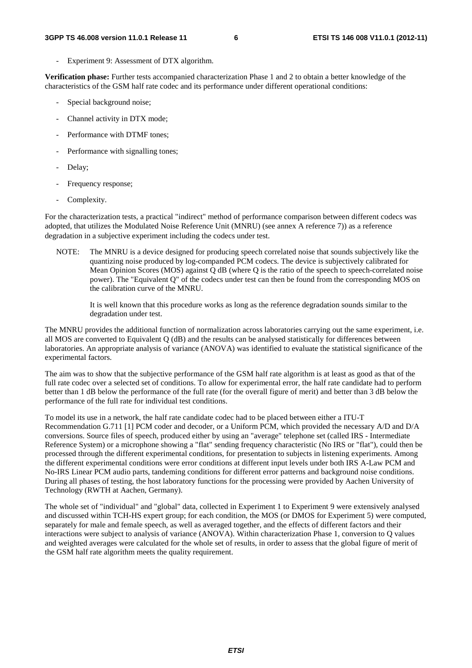Experiment 9: Assessment of DTX algorithm.

**Verification phase:** Further tests accompanied characterization Phase 1 and 2 to obtain a better knowledge of the characteristics of the GSM half rate codec and its performance under different operational conditions:

- Special background noise;
- Channel activity in DTX mode;
- Performance with DTMF tones;
- Performance with signalling tones;
- Delay;
- Frequency response;
- Complexity.

For the characterization tests, a practical "indirect" method of performance comparison between different codecs was adopted, that utilizes the Modulated Noise Reference Unit (MNRU) (see annex A reference 7)) as a reference degradation in a subjective experiment including the codecs under test.

NOTE: The MNRU is a device designed for producing speech correlated noise that sounds subjectively like the quantizing noise produced by log-companded PCM codecs. The device is subjectively calibrated for Mean Opinion Scores (MOS) against Q dB (where Q is the ratio of the speech to speech-correlated noise power). The "Equivalent Q" of the codecs under test can then be found from the corresponding MOS on the calibration curve of the MNRU.

 It is well known that this procedure works as long as the reference degradation sounds similar to the degradation under test.

The MNRU provides the additional function of normalization across laboratories carrying out the same experiment, i.e. all MOS are converted to Equivalent Q (dB) and the results can be analysed statistically for differences between laboratories. An appropriate analysis of variance (ANOVA) was identified to evaluate the statistical significance of the experimental factors.

The aim was to show that the subjective performance of the GSM half rate algorithm is at least as good as that of the full rate codec over a selected set of conditions. To allow for experimental error, the half rate candidate had to perform better than 1 dB below the performance of the full rate (for the overall figure of merit) and better than 3 dB below the performance of the full rate for individual test conditions.

To model its use in a network, the half rate candidate codec had to be placed between either a ITU-T Recommendation G.711 [1] PCM coder and decoder, or a Uniform PCM, which provided the necessary A/D and D/A conversions. Source files of speech, produced either by using an "average" telephone set (called IRS - Intermediate Reference System) or a microphone showing a "flat" sending frequency characteristic (No IRS or "flat"), could then be processed through the different experimental conditions, for presentation to subjects in listening experiments. Among the different experimental conditions were error conditions at different input levels under both IRS A-Law PCM and No-IRS Linear PCM audio parts, tandeming conditions for different error patterns and background noise conditions. During all phases of testing, the host laboratory functions for the processing were provided by Aachen University of Technology (RWTH at Aachen, Germany).

The whole set of "individual" and "global" data, collected in Experiment 1 to Experiment 9 were extensively analysed and discussed within TCH-HS expert group; for each condition, the MOS (or DMOS for Experiment 5) were computed, separately for male and female speech, as well as averaged together, and the effects of different factors and their interactions were subject to analysis of variance (ANOVA). Within characterization Phase 1, conversion to Q values and weighted averages were calculated for the whole set of results, in order to assess that the global figure of merit of the GSM half rate algorithm meets the quality requirement.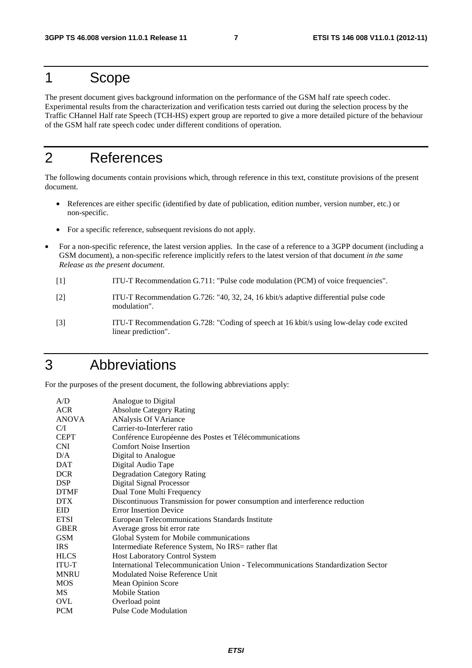## 1 Scope

The present document gives background information on the performance of the GSM half rate speech codec. Experimental results from the characterization and verification tests carried out during the selection process by the Traffic CHannel Half rate Speech (TCH-HS) expert group are reported to give a more detailed picture of the behaviour of the GSM half rate speech codec under different conditions of operation.

# 2 References

The following documents contain provisions which, through reference in this text, constitute provisions of the present document.

- References are either specific (identified by date of publication, edition number, version number, etc.) or non-specific.
- For a specific reference, subsequent revisions do not apply.
- For a non-specific reference, the latest version applies. In the case of a reference to a 3GPP document (including a GSM document), a non-specific reference implicitly refers to the latest version of that document *in the same Release as the present document*.
	- [1] ITU-T Recommendation G.711: "Pulse code modulation (PCM) of voice frequencies".
	- [2] ITU-T Recommendation G.726: "40, 32, 24, 16 kbit/s adaptive differential pulse code modulation".
	- [3] ITU-T Recommendation G.728: "Coding of speech at 16 kbit/s using low-delay code excited linear prediction".

# 3 Abbreviations

For the purposes of the present document, the following abbreviations apply:

| Analogue to Digital                                                               |
|-----------------------------------------------------------------------------------|
| <b>Absolute Category Rating</b>                                                   |
| <b>ANalysis Of VAriance</b>                                                       |
| Carrier-to-Interferer ratio                                                       |
| Conférence Européenne des Postes et Télécommunications                            |
| <b>Comfort Noise Insertion</b>                                                    |
| Digital to Analogue                                                               |
| Digital Audio Tape                                                                |
| <b>Degradation Category Rating</b>                                                |
| <b>Digital Signal Processor</b>                                                   |
| Dual Tone Multi Frequency                                                         |
| Discontinuous Transmission for power consumption and interference reduction       |
| <b>Error Insertion Device</b>                                                     |
| European Telecommunications Standards Institute                                   |
| Average gross bit error rate                                                      |
| Global System for Mobile communications                                           |
| Intermediate Reference System, No IRS= rather flat                                |
| <b>Host Laboratory Control System</b>                                             |
| International Telecommunication Union - Telecommunications Standardization Sector |
| Modulated Noise Reference Unit                                                    |
| Mean Opinion Score                                                                |
| <b>Mobile Station</b>                                                             |
| Overload point                                                                    |
| <b>Pulse Code Modulation</b>                                                      |
|                                                                                   |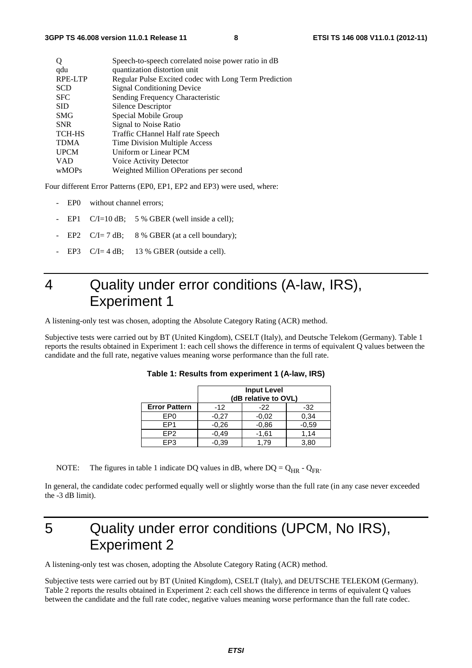| O             | Speech-to-speech correlated noise power ratio in dB   |
|---------------|-------------------------------------------------------|
| qdu           | quantization distortion unit                          |
| RPE-LTP       | Regular Pulse Excited codec with Long Term Prediction |
| <b>SCD</b>    | <b>Signal Conditioning Device</b>                     |
| <b>SFC</b>    | Sending Frequency Characteristic                      |
| <b>SID</b>    | Silence Descriptor                                    |
| <b>SMG</b>    | Special Mobile Group                                  |
| <b>SNR</b>    | Signal to Noise Ratio                                 |
| <b>TCH-HS</b> | Traffic CHannel Half rate Speech                      |
| <b>TDMA</b>   | Time Division Multiple Access                         |
| <b>UPCM</b>   | Uniform or Linear PCM                                 |
| <b>VAD</b>    | Voice Activity Detector                               |
| wMOPs         | Weighted Million OPerations per second                |
|               |                                                       |

Four different Error Patterns (EP0, EP1, EP2 and EP3) were used, where:

- EP0 without channel errors;
- EP1  $C/I=10$  dB; 5 % GBER (well inside a cell);
- EP2  $C/I = 7$  dB; 8 % GBER (at a cell boundary);
- EP3  $C/I = 4 dB$ ; 13 % GBER (outside a cell).

# 4 Quality under error conditions (A-law, IRS), Experiment 1

A listening-only test was chosen, adopting the Absolute Category Rating (ACR) method.

Subjective tests were carried out by BT (United Kingdom), CSELT (Italy), and Deutsche Telekom (Germany). Table 1 reports the results obtained in Experiment 1: each cell shows the difference in terms of equivalent Q values between the candidate and the full rate, negative values meaning worse performance than the full rate.

|                      | <b>Input Level</b><br>(dB relative to OVL) |                |         |  |  |  |  |  |  |
|----------------------|--------------------------------------------|----------------|---------|--|--|--|--|--|--|
| <b>Error Pattern</b> | $-12$                                      | $-32$<br>$-22$ |         |  |  |  |  |  |  |
| EP0                  | $-0.27$                                    | $-0.02$        | 0,34    |  |  |  |  |  |  |
| FP <sub>1</sub>      | $-0.26$                                    | $-0,86$        | $-0,59$ |  |  |  |  |  |  |
| FP <sub>2</sub>      | $-0.49$                                    | $-1,61$        | 1.14    |  |  |  |  |  |  |
| FP3                  | $-0.39$                                    | 3.80<br>79     |         |  |  |  |  |  |  |

**Table 1: Results from experiment 1 (A-law, IRS)** 

NOTE: The figures in table 1 indicate DQ values in dB, where  $DQ = Q_{HR} - Q_{FR}$ .

In general, the candidate codec performed equally well or slightly worse than the full rate (in any case never exceeded the -3 dB limit).

# 5 Quality under error conditions (UPCM, No IRS), Experiment 2

A listening-only test was chosen, adopting the Absolute Category Rating (ACR) method.

Subjective tests were carried out by BT (United Kingdom), CSELT (Italy), and DEUTSCHE TELEKOM (Germany). Table 2 reports the results obtained in Experiment 2: each cell shows the difference in terms of equivalent Q values between the candidate and the full rate codec, negative values meaning worse performance than the full rate codec.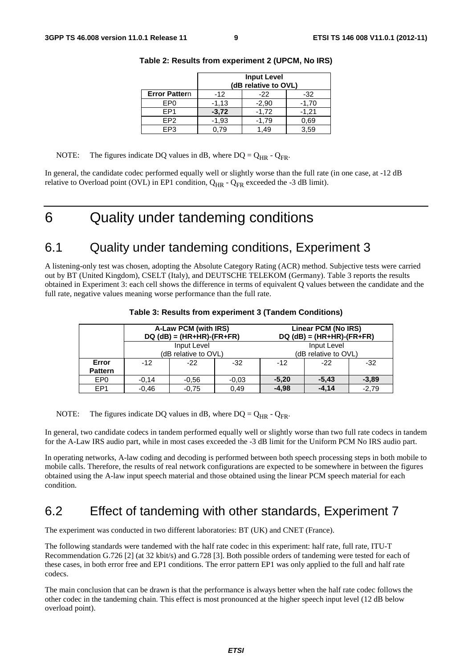|                      | <b>Input Level</b><br>(dB relative to OVL) |                |         |  |  |  |  |  |  |
|----------------------|--------------------------------------------|----------------|---------|--|--|--|--|--|--|
| <b>Error Pattern</b> | $-12$                                      | $-32$<br>$-22$ |         |  |  |  |  |  |  |
| EP <sub>0</sub>      | $-1,13$                                    | $-2,90$        | $-1,70$ |  |  |  |  |  |  |
| FP <sub>1</sub>      | $-3,72$                                    | $-1,72$        | $-1,21$ |  |  |  |  |  |  |
| EP <sub>2</sub>      | $-1,93$                                    | $-1,79$        | 0.69    |  |  |  |  |  |  |
| EP <sub>3</sub>      | 3,59<br>0.79<br>49                         |                |         |  |  |  |  |  |  |

| Table 2: Results from experiment 2 (UPCM, No IRS) |  |  |
|---------------------------------------------------|--|--|
|---------------------------------------------------|--|--|

#### NOTE: The figures indicate DQ values in dB, where DQ =  $Q_{HR}$  -  $Q_{FR}$ .

In general, the candidate codec performed equally well or slightly worse than the full rate (in one case, at -12 dB relative to Overload point (OVL) in EP1 condition,  $Q_{HR}$  -  $Q_{FR}$  exceeded the -3 dB limit).

# 6 Quality under tandeming conditions

### 6.1 Quality under tandeming conditions, Experiment 3

A listening-only test was chosen, adopting the Absolute Category Rating (ACR) method. Subjective tests were carried out by BT (United Kingdom), CSELT (Italy), and DEUTSCHE TELEKOM (Germany). Table 3 reports the results obtained in Experiment 3: each cell shows the difference in terms of equivalent Q values between the candidate and the full rate, negative values meaning worse performance than the full rate.

|                         |                | A-Law PCM (with IRS)<br>$DQ$ (dB) = (HR+HR)-(FR+FR) |         | Linear PCM (No IRS)<br>$DQ$ (dB) = (HR+HR)-(FR+FR) |         |         |  |  |  |  |
|-------------------------|----------------|-----------------------------------------------------|---------|----------------------------------------------------|---------|---------|--|--|--|--|
|                         |                | Input Level<br>(dB relative to OVL)                 |         | Input Level<br>(dB relative to OVL)                |         |         |  |  |  |  |
| Error<br><b>Pattern</b> | $-12$<br>$-22$ |                                                     | $-32$   | $-12$                                              | $-32$   |         |  |  |  |  |
| EP <sub>0</sub>         | $-0.14$        | $-0.56$                                             | $-0.03$ | $-5,20$                                            | $-5,43$ | $-3,89$ |  |  |  |  |
| EP <sub>1</sub>         | $-0.46$        | $-0.75$                                             | $-4,98$ | $-4.14$                                            | $-2.79$ |         |  |  |  |  |

**Table 3: Results from experiment 3 (Tandem Conditions)** 

NOTE: The figures indicate DQ values in dB, where DQ =  $Q_{HR}$  -  $Q_{FR}$ .

In general, two candidate codecs in tandem performed equally well or slightly worse than two full rate codecs in tandem for the A-Law IRS audio part, while in most cases exceeded the -3 dB limit for the Uniform PCM No IRS audio part.

In operating networks, A-law coding and decoding is performed between both speech processing steps in both mobile to mobile calls. Therefore, the results of real network configurations are expected to be somewhere in between the figures obtained using the A-law input speech material and those obtained using the linear PCM speech material for each condition.

### 6.2 Effect of tandeming with other standards, Experiment 7

The experiment was conducted in two different laboratories: BT (UK) and CNET (France).

The following standards were tandemed with the half rate codec in this experiment: half rate, full rate, ITU-T Recommendation G.726 [2] (at 32 kbit/s) and G.728 [3]. Both possible orders of tandeming were tested for each of these cases, in both error free and EP1 conditions. The error pattern EP1 was only applied to the full and half rate codecs.

The main conclusion that can be drawn is that the performance is always better when the half rate codec follows the other codec in the tandeming chain. This effect is most pronounced at the higher speech input level (12 dB below overload point).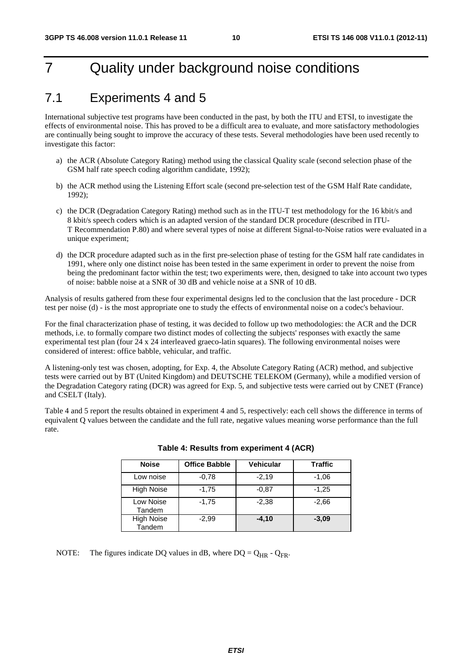# 7 Quality under background noise conditions

### 7.1 Experiments 4 and 5

International subjective test programs have been conducted in the past, by both the ITU and ETSI, to investigate the effects of environmental noise. This has proved to be a difficult area to evaluate, and more satisfactory methodologies are continually being sought to improve the accuracy of these tests. Several methodologies have been used recently to investigate this factor:

- a) the ACR (Absolute Category Rating) method using the classical Quality scale (second selection phase of the GSM half rate speech coding algorithm candidate, 1992);
- b) the ACR method using the Listening Effort scale (second pre-selection test of the GSM Half Rate candidate, 1992);
- c) the DCR (Degradation Category Rating) method such as in the ITU-T test methodology for the 16 kbit/s and 8 kbit/s speech coders which is an adapted version of the standard DCR procedure (described in ITU-T Recommendation P.80) and where several types of noise at different Signal-to-Noise ratios were evaluated in a unique experiment;
- d) the DCR procedure adapted such as in the first pre-selection phase of testing for the GSM half rate candidates in 1991, where only one distinct noise has been tested in the same experiment in order to prevent the noise from being the predominant factor within the test; two experiments were, then, designed to take into account two types of noise: babble noise at a SNR of 30 dB and vehicle noise at a SNR of 10 dB.

Analysis of results gathered from these four experimental designs led to the conclusion that the last procedure - DCR test per noise (d) - is the most appropriate one to study the effects of environmental noise on a codec's behaviour.

For the final characterization phase of testing, it was decided to follow up two methodologies: the ACR and the DCR methods, i.e. to formally compare two distinct modes of collecting the subjects' responses with exactly the same experimental test plan (four 24 x 24 interleaved graeco-latin squares). The following environmental noises were considered of interest: office babble, vehicular, and traffic.

A listening-only test was chosen, adopting, for Exp. 4, the Absolute Category Rating (ACR) method, and subjective tests were carried out by BT (United Kingdom) and DEUTSCHE TELEKOM (Germany), while a modified version of the Degradation Category rating (DCR) was agreed for Exp. 5, and subjective tests were carried out by CNET (France) and CSELT (Italy).

Table 4 and 5 report the results obtained in experiment 4 and 5, respectively: each cell shows the difference in terms of equivalent Q values between the candidate and the full rate, negative values meaning worse performance than the full rate.

| <b>Noise</b>                | <b>Office Babble</b> | <b>Vehicular</b> | <b>Traffic</b> |
|-----------------------------|----------------------|------------------|----------------|
| Low noise                   | $-0.78$              | $-2,19$          | $-1,06$        |
| <b>High Noise</b>           | $-1,75$              | $-0.87$          | $-1,25$        |
| Low Noise<br>Tandem         | $-1,75$              | $-2.38$          | $-2.66$        |
| <b>High Noise</b><br>Tandem | $-2.99$              | $-4.10$          | $-3.09$        |

#### **Table 4: Results from experiment 4 (ACR)**

NOTE: The figures indicate DQ values in dB, where  $DQ = Q_{HR} - Q_{FR}$ .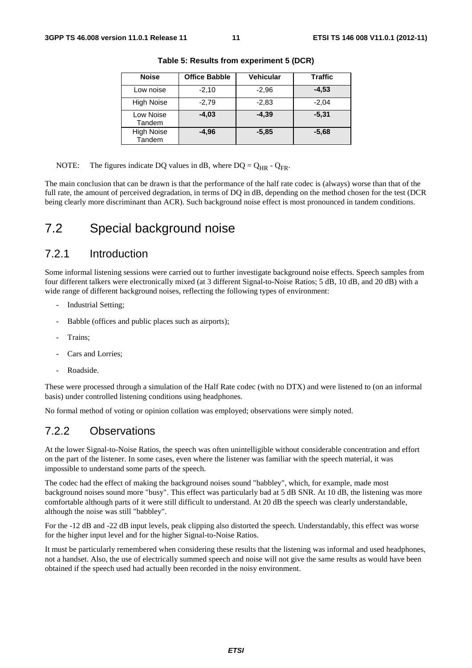| <b>Noise</b>                | <b>Office Babble</b> | Vehicular | Traffic |
|-----------------------------|----------------------|-----------|---------|
| Low noise                   | $-2,10$              | $-2.96$   | $-4,53$ |
| <b>High Noise</b>           | $-2,79$              | $-2,83$   | $-2.04$ |
| Low Noise<br>Tandem         | $-4,03$              | $-4.39$   | $-5.31$ |
| <b>High Noise</b><br>Tandem | $-4,96$              | $-5.85$   | $-5,68$ |

**Table 5: Results from experiment 5 (DCR)** 

NOTE: The figures indicate DQ values in dB, where  $DQ = Q_{HR} - Q_{FR}$ .

The main conclusion that can be drawn is that the performance of the half rate codec is (always) worse than that of the full rate, the amount of perceived degradation, in terms of DQ in dB, depending on the method chosen for the test (DCR being clearly more discriminant than ACR). Such background noise effect is most pronounced in tandem conditions.

#### 7.2 Special background noise

#### 7.2.1 Introduction

Some informal listening sessions were carried out to further investigate background noise effects. Speech samples from four different talkers were electronically mixed (at 3 different Signal-to-Noise Ratios; 5 dB, 10 dB, and 20 dB) with a wide range of different background noises, reflecting the following types of environment:

- Industrial Setting;
- Babble (offices and public places such as airports);
- Trains;
- Cars and Lorries:
- Roadside.

These were processed through a simulation of the Half Rate codec (with no DTX) and were listened to (on an informal basis) under controlled listening conditions using headphones.

No formal method of voting or opinion collation was employed; observations were simply noted.

#### 7.2.2 Observations

At the lower Signal-to-Noise Ratios, the speech was often unintelligible without considerable concentration and effort on the part of the listener. In some cases, even where the listener was familiar with the speech material, it was impossible to understand some parts of the speech.

The codec had the effect of making the background noises sound "babbley", which, for example, made most background noises sound more "busy". This effect was particularly bad at 5 dB SNR. At 10 dB, the listening was more comfortable although parts of it were still difficult to understand. At 20 dB the speech was clearly understandable, although the noise was still "babbley".

For the -12 dB and -22 dB input levels, peak clipping also distorted the speech. Understandably, this effect was worse for the higher input level and for the higher Signal-to-Noise Ratios.

It must be particularly remembered when considering these results that the listening was informal and used headphones, not a handset. Also, the use of electrically summed speech and noise will not give the same results as would have been obtained if the speech used had actually been recorded in the noisy environment.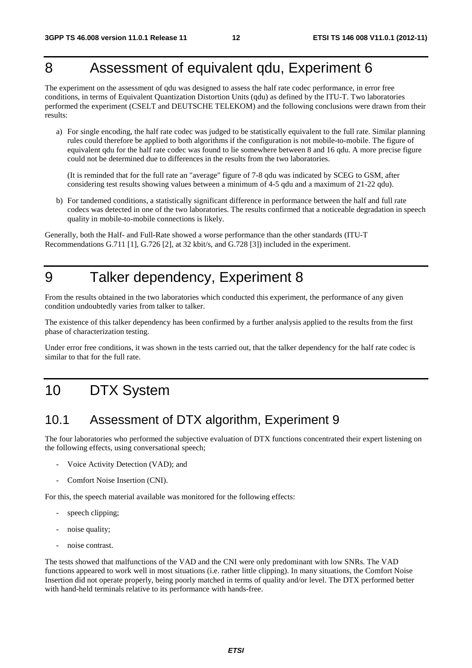# 8 Assessment of equivalent qdu, Experiment 6

The experiment on the assessment of qdu was designed to assess the half rate codec performance, in error free conditions, in terms of Equivalent Quantization Distortion Units (qdu) as defined by the ITU-T. Two laboratories performed the experiment (CSELT and DEUTSCHE TELEKOM) and the following conclusions were drawn from their results:

a) For single encoding, the half rate codec was judged to be statistically equivalent to the full rate. Similar planning rules could therefore be applied to both algorithms if the configuration is not mobile-to-mobile. The figure of equivalent qdu for the half rate codec was found to lie somewhere between 8 and 16 qdu. A more precise figure could not be determined due to differences in the results from the two laboratories.

 (It is reminded that for the full rate an "average" figure of 7-8 qdu was indicated by SCEG to GSM, after considering test results showing values between a minimum of 4-5 qdu and a maximum of 21-22 qdu).

b) For tandemed conditions, a statistically significant difference in performance between the half and full rate codecs was detected in one of the two laboratories. The results confirmed that a noticeable degradation in speech quality in mobile-to-mobile connections is likely.

Generally, both the Half- and Full-Rate showed a worse performance than the other standards (ITU-T Recommendations G.711 [1], G.726 [2], at 32 kbit/s, and G.728 [3]) included in the experiment.

# 9 Talker dependency, Experiment 8

From the results obtained in the two laboratories which conducted this experiment, the performance of any given condition undoubtedly varies from talker to talker.

The existence of this talker dependency has been confirmed by a further analysis applied to the results from the first phase of characterization testing.

Under error free conditions, it was shown in the tests carried out, that the talker dependency for the half rate codec is similar to that for the full rate.

# 10 DTX System

#### 10.1 Assessment of DTX algorithm, Experiment 9

The four laboratories who performed the subjective evaluation of DTX functions concentrated their expert listening on the following effects, using conversational speech;

- Voice Activity Detection (VAD); and
- Comfort Noise Insertion (CNI).

For this, the speech material available was monitored for the following effects:

- speech clipping;
- noise quality;
- noise contrast.

The tests showed that malfunctions of the VAD and the CNI were only predominant with low SNRs. The VAD functions appeared to work well in most situations (i.e. rather little clipping). In many situations, the Comfort Noise Insertion did not operate properly, being poorly matched in terms of quality and/or level. The DTX performed better with hand-held terminals relative to its performance with hands-free.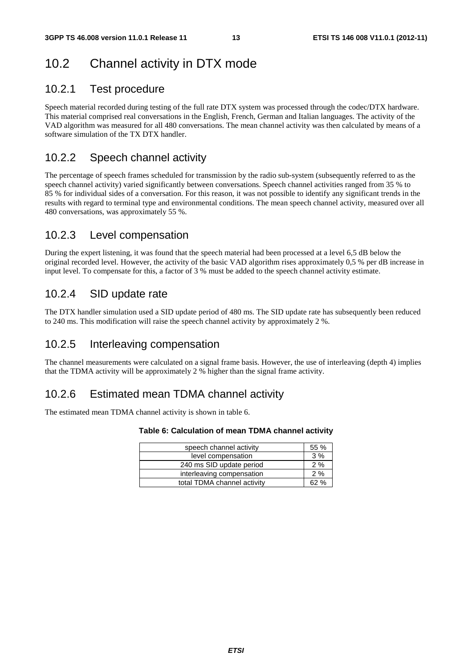# 10.2 Channel activity in DTX mode

#### 10.2.1 Test procedure

Speech material recorded during testing of the full rate DTX system was processed through the codec/DTX hardware. This material comprised real conversations in the English, French, German and Italian languages. The activity of the VAD algorithm was measured for all 480 conversations. The mean channel activity was then calculated by means of a software simulation of the TX DTX handler.

#### 10.2.2 Speech channel activity

The percentage of speech frames scheduled for transmission by the radio sub-system (subsequently referred to as the speech channel activity) varied significantly between conversations. Speech channel activities ranged from 35 % to 85 % for individual sides of a conversation. For this reason, it was not possible to identify any significant trends in the results with regard to terminal type and environmental conditions. The mean speech channel activity, measured over all 480 conversations, was approximately 55 %.

#### 10.2.3 Level compensation

During the expert listening, it was found that the speech material had been processed at a level 6,5 dB below the original recorded level. However, the activity of the basic VAD algorithm rises approximately 0,5 % per dB increase in input level. To compensate for this, a factor of 3 % must be added to the speech channel activity estimate.

#### 10.2.4 SID update rate

The DTX handler simulation used a SID update period of 480 ms. The SID update rate has subsequently been reduced to 240 ms. This modification will raise the speech channel activity by approximately 2 %.

#### 10.2.5 Interleaving compensation

The channel measurements were calculated on a signal frame basis. However, the use of interleaving (depth 4) implies that the TDMA activity will be approximately 2 % higher than the signal frame activity.

#### 10.2.6 Estimated mean TDMA channel activity

The estimated mean TDMA channel activity is shown in table 6.

#### **Table 6: Calculation of mean TDMA channel activity**

| speech channel activity     | 55 % |  |  |  |
|-----------------------------|------|--|--|--|
| level compensation          |      |  |  |  |
| 240 ms SID update period    |      |  |  |  |
| interleaving compensation   |      |  |  |  |
| total TDMA channel activity | 62 % |  |  |  |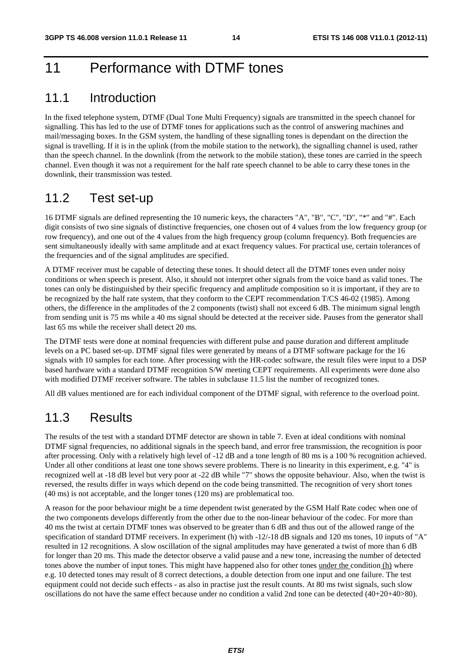# 11 Performance with DTMF tones

#### 11.1 Introduction

In the fixed telephone system, DTMF (Dual Tone Multi Frequency) signals are transmitted in the speech channel for signalling. This has led to the use of DTMF tones for applications such as the control of answering machines and mail/messaging boxes. In the GSM system, the handling of these signalling tones is dependant on the direction the signal is travelling. If it is in the uplink (from the mobile station to the network), the signalling channel is used, rather than the speech channel. In the downlink (from the network to the mobile station), these tones are carried in the speech channel. Even though it was not a requirement for the half rate speech channel to be able to carry these tones in the downlink, their transmission was tested.

#### 11.2 Test set-up

16 DTMF signals are defined representing the 10 numeric keys, the characters "A", "B", "C", "D", "\*" and "#". Each digit consists of two sine signals of distinctive frequencies, one chosen out of 4 values from the low frequency group (or row frequency), and one out of the 4 values from the high frequency group (column frequency). Both frequencies are sent simultaneously ideally with same amplitude and at exact frequency values. For practical use, certain tolerances of the frequencies and of the signal amplitudes are specified.

A DTMF receiver must be capable of detecting these tones. It should detect all the DTMF tones even under noisy conditions or when speech is present. Also, it should not interpret other signals from the voice band as valid tones. The tones can only be distinguished by their specific frequency and amplitude composition so it is important, if they are to be recognized by the half rate system, that they conform to the CEPT recommendation T/CS 46-02 (1985). Among others, the difference in the amplitudes of the 2 components (twist) shall not exceed 6 dB. The minimum signal length from sending unit is 75 ms while a 40 ms signal should be detected at the receiver side. Pauses from the generator shall last 65 ms while the receiver shall detect 20 ms.

The DTMF tests were done at nominal frequencies with different pulse and pause duration and different amplitude levels on a PC based set-up. DTMF signal files were generated by means of a DTMF software package for the 16 signals with 10 samples for each tone. After processing with the HR-codec software, the result files were input to a DSP based hardware with a standard DTMF recognition S/W meeting CEPT requirements. All experiments were done also with modified DTMF receiver software. The tables in subclause 11.5 list the number of recognized tones.

All dB values mentioned are for each individual component of the DTMF signal, with reference to the overload point.

### 11.3 Results

The results of the test with a standard DTMF detector are shown in table 7. Even at ideal conditions with nominal DTMF signal frequencies, no additional signals in the speech band, and error free transmission, the recognition is poor after processing. Only with a relatively high level of -12 dB and a tone length of 80 ms is a 100 % recognition achieved. Under all other conditions at least one tone shows severe problems. There is no linearity in this experiment, e.g. "4" is recognized well at -18 dB level but very poor at -22 dB while "7" shows the opposite behaviour. Also, when the twist is reversed, the results differ in ways which depend on the code being transmitted. The recognition of very short tones (40 ms) is not acceptable, and the longer tones (120 ms) are problematical too.

A reason for the poor behaviour might be a time dependent twist generated by the GSM Half Rate codec when one of the two components develops differently from the other due to the non-linear behaviour of the codec. For more than 40 ms the twist at certain DTMF tones was observed to be greater than 6 dB and thus out of the allowed range of the specification of standard DTMF receivers. In experiment (h) with -12/-18 dB signals and 120 ms tones, 10 inputs of "A" resulted in 12 recognitions. A slow oscillation of the signal amplitudes may have generated a twist of more than 6 dB for longer than 20 ms. This made the detector observe a valid pause and a new tone, increasing the number of detected tones above the number of input tones. This might have happened also for other tones under the condition (h) where e.g. 10 detected tones may result of 8 correct detections, a double detection from one input and one failure. The test equipment could not decide such effects - as also in practise just the result counts. At 80 ms twist signals, such slow oscillations do not have the same effect because under no condition a valid 2nd tone can be detected (40+20+40>80).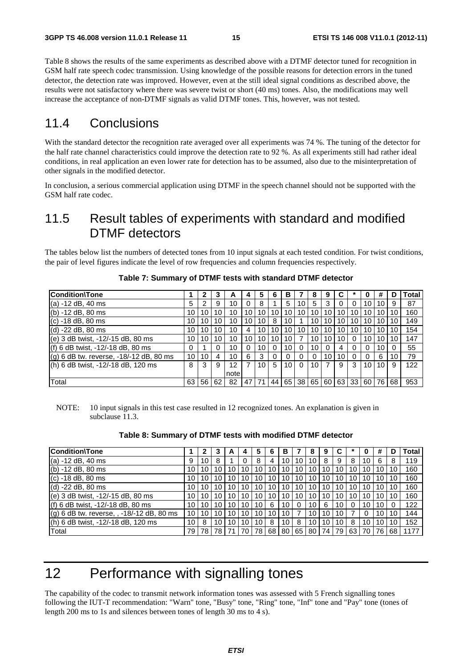Table 8 shows the results of the same experiments as described above with a DTMF detector tuned for recognition in GSM half rate speech codec transmission. Using knowledge of the possible reasons for detection errors in the tuned detector, the detection rate was improved. However, even at the still ideal signal conditions as described above, the results were not satisfactory where there was severe twist or short (40 ms) tones. Also, the modifications may well increase the acceptance of non-DTMF signals as valid DTMF tones. This, however, was not tested.

#### 11.4 Conclusions

With the standard detector the recognition rate averaged over all experiments was 74 %. The tuning of the detector for the half rate channel characteristics could improve the detection rate to 92 %. As all experiments still had rather ideal conditions, in real application an even lower rate for detection has to be assumed, also due to the misinterpretation of other signals in the modified detector.

In conclusion, a serious commercial application using DTMF in the speech channel should not be supported with the GSM half rate codec.

### 11.5 Result tables of experiments with standard and modified DTMF detectors

The tables below list the numbers of detected tones from 10 input signals at each tested condition. For twist conditions, the pair of level figures indicate the level of row frequencies and column frequencies respectively.

| <b>Condition\Tone</b>                           |    | 2  |    | A    |    | 5  | 6  | в  |          | 8  | 9  |    |          | o        | #  | D  | Total |
|-------------------------------------------------|----|----|----|------|----|----|----|----|----------|----|----|----|----------|----------|----|----|-------|
| $(a) -12$ dB, 40 ms                             | 5  | 2  | 9  | 10   |    | 8  |    | 5  | 10       | 5  | 3  | 0  | $\Omega$ | 10       | 10 | 9  | 87    |
| $(b) -12$ dB, 80 ms                             | 10 | 10 | 10 | 10   | 10 | 10 | 10 | 10 | 10       | 10 | 10 | 10 | 10       | 10       | 10 | 10 | 160   |
| (c) -18 dB, 80 ms                               | 10 | 10 | 10 | 10   | 10 | 10 | 8  | 10 |          | 10 | 10 | 10 | 10       | 10       | 10 | 10 | 149   |
| $(d) -22 dB, 80 ms$                             | 10 | 10 | 10 | 10   | 4  | 10 | 10 | 10 | 10       | 10 | 10 | 10 | 10       | 10       | 10 | 10 | 154   |
| (e) 3 dB twist, -12/-15 dB, 80 ms               | 10 | 10 | 10 | 10   | 10 | 10 | 10 | 10 | 7        | 10 | 10 | 10 | $\Omega$ | 10       | 10 | 10 | 147   |
| (f) 6 dB twist, -12/-18 dB, 80 ms               | 0  |    |    | 10   |    | 10 |    | 10 | 0        | 10 |    | 4  |          | $\Omega$ | 10 | 0  | 55    |
| $\vert$ (g) 6 dB tw. reverse, -18/-12 dB, 80 ms | 10 | 10 | 4  | 10   | 6  | 3  |    |    | $\Omega$ |    | 10 | 10 |          | $\Omega$ | 6  | 10 | 79    |
| (h) 6 dB twist, -12/-18 dB, 120 ms              | 8  | 3  | 9  | 12   |    | 10 | 5  | 10 | $\Omega$ | 10 | 7  | 9  | 3        | 10       | 10 | 9  | 122   |
|                                                 |    |    |    | note |    |    |    |    |          |    |    |    |          |          |    |    |       |
| Total                                           | 63 | 56 | 62 | 82   | 47 | 71 | 44 |    | 65 38    | 65 | 60 | 63 | 33       | 60       | 76 | 68 | 953   |

**Table 7: Summary of DTMF tests with standard DTMF detector** 

NOTE: 10 input signals in this test case resulted in 12 recognized tones. An explanation is given in subclause 11.3.

|  |  | Table 8: Summary of DTMF tests with modified DTMF detector |
|--|--|------------------------------------------------------------|
|--|--|------------------------------------------------------------|

| Condition\Tone                            |    |    |    | A  |                 |    |    | в  |    | 8  | 9  |    |      |    | #  |    | Total |
|-------------------------------------------|----|----|----|----|-----------------|----|----|----|----|----|----|----|------|----|----|----|-------|
| (a) -12 dB, 40 ms                         | 9  | 10 | 8  |    |                 | 8  | 4  | 10 | 10 | 10 | 8  | 9  | 8    | 10 | 6  | 8  | 119   |
| (b) -12 dB, 80 ms                         | 10 | 10 | 10 | 10 | 10 <sub>1</sub> | 10 | 10 | 10 | 10 | 10 | 10 | 10 | 10   | 10 | 10 | 10 | 160   |
| (c) -18 dB, 80 ms                         | 10 | 10 | 10 | 10 | 10              | 10 | 10 | 10 | 10 | 10 | 10 | 10 | 10   | 10 | 10 | 10 | 160   |
| $(d) -22 dB, 80 ms$                       | 10 | 10 | 10 | 10 | 10              | 10 | 10 | 10 | 10 | 10 | 10 | 10 | 10   | 10 | 10 | 10 | 160   |
| (e) 3 dB twist, -12/-15 dB, 80 ms         | 10 | 10 | 10 | 10 | 10.             | 10 | 10 | 10 | 10 | 10 | 10 | 10 | 10   | 10 | 10 | 10 | 160   |
| (f) 6 dB twist, -12/-18 dB, 80 ms         | 10 | 10 | 10 | 10 | 10              | 10 | 6  | 10 |    | 10 | 6  | 10 | 0    | 10 | 10 |    | 122   |
| (g) 6 dB tw. reverse, , -18/-12 dB, 80 ms | 10 | 10 | 10 | 10 | 10              | 10 | 10 | 10 |    | 10 | 10 | 10 |      | 0  | 10 | 10 | 144   |
| (h) 6 dB twist, -12/-18 dB, 120 ms        | 10 | 8  | 10 | 10 | 10              | 10 | 8  | 10 | 8  | 10 | 10 | 10 | 8    | 10 | 10 | 10 | 152   |
| Total                                     | 79 | 78 | 78 |    |                 | 78 | 68 | 80 | 65 | 80 | 74 | 79 | 63 I | 70 | 76 | 68 | 1177  |

# 12 Performance with signalling tones

The capability of the codec to transmit network information tones was assessed with 5 French signalling tones following the IUT-T recommendation: "Warn" tone, "Busy" tone, "Ring" tone, "Inf" tone and "Pay" tone (tones of length 200 ms to 1s and silences between tones of length 30 ms to 4 s).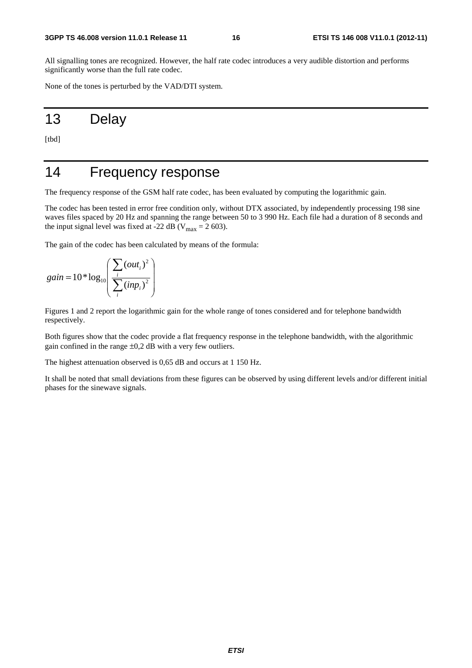All signalling tones are recognized. However, the half rate codec introduces a very audible distortion and performs significantly worse than the full rate codec.

None of the tones is perturbed by the VAD/DTI system.

# 13 Delay

[tbd]

# 14 Frequency response

The frequency response of the GSM half rate codec, has been evaluated by computing the logarithmic gain.

The codec has been tested in error free condition only, without DTX associated, by independently processing 198 sine waves files spaced by 20 Hz and spanning the range between 50 to 3 990 Hz. Each file had a duration of 8 seconds and the input signal level was fixed at -22 dB ( $V_{\text{max}} = 2$  603).

The gain of the codec has been calculated by means of the formula:

$$
gain = 10 * log_{10}\left(\frac{\sum_{i} (out_i)^2}{\sum_{i} (inp_i)^2}\right)
$$

Figures 1 and 2 report the logarithmic gain for the whole range of tones considered and for telephone bandwidth respectively.

Both figures show that the codec provide a flat frequency response in the telephone bandwidth, with the algorithmic gain confined in the range  $\pm 0.2$  dB with a very few outliers.

The highest attenuation observed is 0,65 dB and occurs at 1 150 Hz.

It shall be noted that small deviations from these figures can be observed by using different levels and/or different initial phases for the sinewave signals.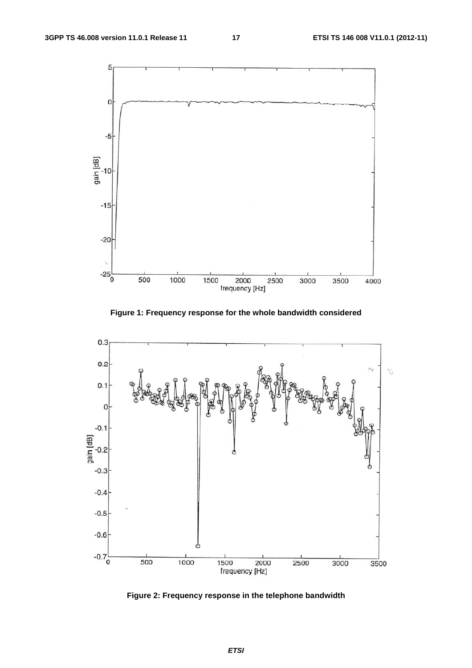

**Figure 1: Frequency response for the whole bandwidth considered** 



**Figure 2: Frequency response in the telephone bandwidth** 

*ETSI*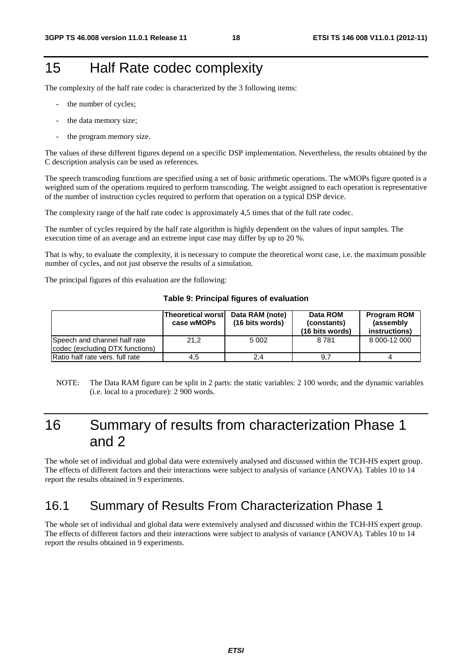# 15 Half Rate codec complexity

The complexity of the half rate codec is characterized by the 3 following items:

- the number of cycles;
- the data memory size;
- the program memory size.

The values of these different figures depend on a specific DSP implementation. Nevertheless, the results obtained by the C description analysis can be used as references.

The speech transcoding functions are specified using a set of basic arithmetic operations. The wMOPs figure quoted is a weighted sum of the operations required to perform transcoding. The weight assigned to each operation is representative of the number of instruction cycles required to perform that operation on a typical DSP device.

The complexity range of the half rate codec is approximately 4,5 times that of the full rate codec.

The number of cycles required by the half rate algorithm is highly dependent on the values of input samples. The execution time of an average and an extreme input case may differ by up to 20 %.

That is why, to evaluate the complexity, it is necessary to compute the theoretical worst case, i.e. the maximum possible number of cycles, and not just observe the results of a simulation.

The principal figures of this evaluation are the following:

|  |  |  | Table 9: Principal figures of evaluation |
|--|--|--|------------------------------------------|
|--|--|--|------------------------------------------|

|                                                                 | <b>Theoretical worst</b><br>case wMOPs | Data RAM (note)<br>(16 bits words) | Data ROM<br>(constants)<br>(16 bits words) | <b>Program ROM</b><br>(assembly)<br>instructions) |
|-----------------------------------------------------------------|----------------------------------------|------------------------------------|--------------------------------------------|---------------------------------------------------|
| Speech and channel half rate<br>codec (excluding DTX functions) | 21.2                                   | 5 0 0 2                            | 8781                                       | 8 000-12 000                                      |
| Ratio half rate vers, full rate                                 | 4.5                                    | 2.4                                | 9.7                                        |                                                   |

NOTE: The Data RAM figure can be split in 2 parts: the static variables: 2 100 words; and the dynamic variables (i.e. local to a procedure): 2 900 words.

# 16 Summary of results from characterization Phase 1 and 2

The whole set of individual and global data were extensively analysed and discussed within the TCH-HS expert group. The effects of different factors and their interactions were subject to analysis of variance (ANOVA). Tables 10 to 14 report the results obtained in 9 experiments.

### 16.1 Summary of Results From Characterization Phase 1

The whole set of individual and global data were extensively analysed and discussed within the TCH-HS expert group. The effects of different factors and their interactions were subject to analysis of variance (ANOVA). Tables 10 to 14 report the results obtained in 9 experiments.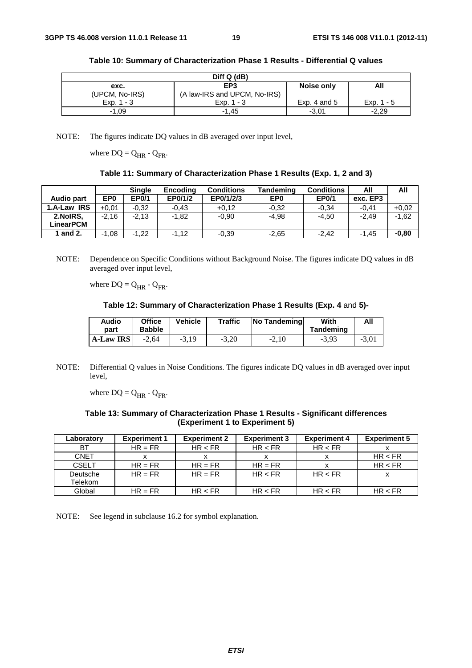| Diff Q (dB)    |                              |                |              |  |  |  |
|----------------|------------------------------|----------------|--------------|--|--|--|
| exc.           | EP <sub>3</sub>              | Noise only     | All          |  |  |  |
| (UPCM, No-IRS) | (A law-IRS and UPCM, No-IRS) |                |              |  |  |  |
| $Exp. 1 - 3$   | Exp. $1 - 3$                 | Exp. 4 and $5$ | Exp. $1 - 5$ |  |  |  |
| $-1,09$        | $-1.45$                      | $-3,01$        | $-2,29$      |  |  |  |

|  | Table 10: Summary of Characterization Phase 1 Results - Differential Q values |
|--|-------------------------------------------------------------------------------|
|--|-------------------------------------------------------------------------------|

NOTE: The figures indicate DQ values in dB averaged over input level,

where  $DQ = Q_{HR} - Q_{FR}$ .

|  | Table 11: Summary of Characterization Phase 1 Results (Exp. 1, 2 and 3) |  |  |
|--|-------------------------------------------------------------------------|--|--|
|--|-------------------------------------------------------------------------|--|--|

|             |         | <b>Single</b> | <b>Encoding</b> | <b>Conditions</b> | <b>Tandeming</b> | <b>Conditions</b> | All      | All     |
|-------------|---------|---------------|-----------------|-------------------|------------------|-------------------|----------|---------|
| Audio part  | EP0     | <b>EP0/1</b>  | EP0/1/2         | EP0/1/2/3         | EP <sub>0</sub>  | <b>EP0/1</b>      | exc. EP3 |         |
| 1.A-Law IRS | $+0.01$ | $-0.32$       | $-0.43$         | $+0.12$           | $-0.32$          | $-0.34$           | $-0.41$  | $+0.02$ |
| 2.NoIRS.    | $-2.16$ | $-2.13$       | -1.82           | $-0.90$           | $-4.98$          | $-4.50$           | $-2.49$  | $-1,62$ |
| LinearPCM   |         |               |                 |                   |                  |                   |          |         |
| 1 and 2.    | $-1,08$ | $-1.22$       | $-1.12$         | $-0.39$           | $-2,65$          | $-2.42$           | $-1.45$  | $-0.80$ |

NOTE: Dependence on Specific Conditions without Background Noise. The figures indicate DQ values in dB averaged over input level,

where  $DQ = Q_{HR} - Q_{FR}$ .

**Table 12: Summary of Characterization Phase 1 Results (Exp. 4** and **5)-**

| Audio            | <b>Office</b> | <b>Vehicle</b> | <b>Traffic</b> | <b>No Tandeming</b> | With      | All     |
|------------------|---------------|----------------|----------------|---------------------|-----------|---------|
| part             | <b>Babble</b> |                |                |                     | Tandeming |         |
| <b>A-Law IRS</b> | $-2.64$       | $-3,19$        | $-3,20$        | $-2,10$             | $-3,93$   | $-3.01$ |

NOTE: Differential Q values in Noise Conditions. The figures indicate DQ values in dB averaged over input level,

where  $DQ = Q_{HR} - Q_{FR}$ .

**Table 13: Summary of Characterization Phase 1 Results - Significant differences (Experiment 1 to Experiment 5)**

| Laboratory          | <b>Experiment 1</b> | <b>Experiment 2</b> | <b>Experiment 3</b> | <b>Experiment 4</b> | <b>Experiment 5</b> |
|---------------------|---------------------|---------------------|---------------------|---------------------|---------------------|
| BT.                 | $HR = FR$           | HR < FR             | HR < FR             | HR < FR             |                     |
| <b>CNET</b>         |                     |                     |                     |                     | HR < FR             |
| <b>CSELT</b>        | $HR = FR$           | $HR = FR$           | $HR = FR$           |                     | HR < FR             |
| Deutsche<br>Telekom | $HR = FR$           | $HR = FR$           | HR < FR             | HR < FR             |                     |
| Global              | $HR = FR$           | HR < FR             | HR < FR             | HR < FR             | HR < FR             |

NOTE: See legend in subclause 16.2 for symbol explanation.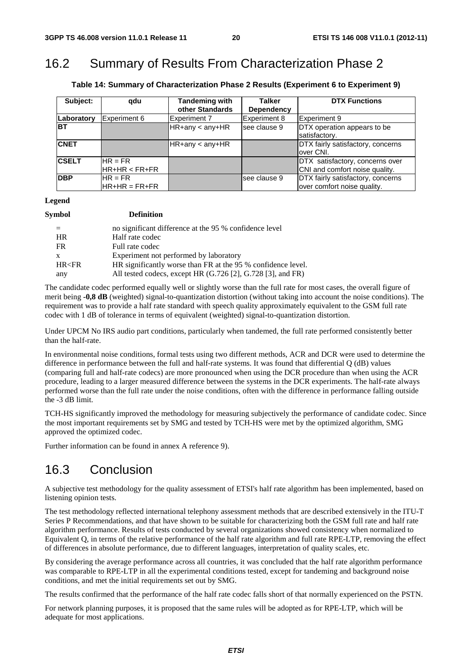## 16.2 Summary of Results From Characterization Phase 2

**Table 14: Summary of Characterization Phase 2 Results (Experiment 6 to Experiment 9)** 

| Subject:     | qdu                                                               | <b>Tandeming with</b><br>other Standards | <b>Talker</b><br><b>Dependency</b> | <b>DTX Functions</b>                                              |
|--------------|-------------------------------------------------------------------|------------------------------------------|------------------------------------|-------------------------------------------------------------------|
| Laboratory   | Experiment 6                                                      | Experiment 7                             | <b>Experiment 8</b>                | <b>IExperiment 9</b>                                              |
| <b>BT</b>    |                                                                   | $HR+any < any+HR$                        | see clause 9                       | DTX operation appears to be<br>satisfactory.                      |
| <b>CNET</b>  |                                                                   | HR+any < any+HR                          |                                    | DTX fairly satisfactory, concerns<br>lover CNI.                   |
| <b>CSELT</b> | $HR = FR$<br>$HR+HR < FR+FR$                                      |                                          |                                    | DTX satisfactory, concerns over<br>CNI and comfort noise quality. |
| <b>IDBP</b>  | $HR = FR$<br>$\mathsf{IHR}\texttt{+HR} = \mathsf{FR}\texttt{+FR}$ |                                          | Isee clause 9                      | DTX fairly satisfactory, concerns<br>over comfort noise quality.  |

**Legend** 

| Symbol    | <b>Definition</b>                                                   |
|-----------|---------------------------------------------------------------------|
|           | no significant difference at the 95 % confidence level              |
| <b>HR</b> | Half rate codec                                                     |
| FR        | Full rate codec                                                     |
| X         | Experiment not performed by laboratory                              |
| HR < FR   | HR significantly worse than FR at the 95 % confidence level.        |
| any       | All tested codecs, except HR $(G.726 \, [2], G.728 \, [3],$ and FR) |

The candidate codec performed equally well or slightly worse than the full rate for most cases, the overall figure of merit being **-0,8 dB** (weighted) signal-to-quantization distortion (without taking into account the noise conditions). The requirement was to provide a half rate standard with speech quality approximately equivalent to the GSM full rate codec with 1 dB of tolerance in terms of equivalent (weighted) signal-to-quantization distortion.

Under UPCM No IRS audio part conditions, particularly when tandemed, the full rate performed consistently better than the half-rate.

In environmental noise conditions, formal tests using two different methods, ACR and DCR were used to determine the difference in performance between the full and half-rate systems. It was found that differential Q (dB) values (comparing full and half-rate codecs) are more pronounced when using the DCR procedure than when using the ACR procedure, leading to a larger measured difference between the systems in the DCR experiments. The half-rate always performed worse than the full rate under the noise conditions, often with the difference in performance falling outside the -3 dB limit.

TCH-HS significantly improved the methodology for measuring subjectively the performance of candidate codec. Since the most important requirements set by SMG and tested by TCH-HS were met by the optimized algorithm, SMG approved the optimized codec.

Further information can be found in annex A reference 9).

# 16.3 Conclusion

A subjective test methodology for the quality assessment of ETSI's half rate algorithm has been implemented, based on listening opinion tests.

The test methodology reflected international telephony assessment methods that are described extensively in the ITU-T Series P Recommendations, and that have shown to be suitable for characterizing both the GSM full rate and half rate algorithm performance. Results of tests conducted by several organizations showed consistency when normalized to Equivalent Q, in terms of the relative performance of the half rate algorithm and full rate RPE-LTP, removing the effect of differences in absolute performance, due to different languages, interpretation of quality scales, etc.

By considering the average performance across all countries, it was concluded that the half rate algorithm performance was comparable to RPE-LTP in all the experimental conditions tested, except for tandeming and background noise conditions, and met the initial requirements set out by SMG.

The results confirmed that the performance of the half rate codec falls short of that normally experienced on the PSTN.

For network planning purposes, it is proposed that the same rules will be adopted as for RPE-LTP, which will be adequate for most applications.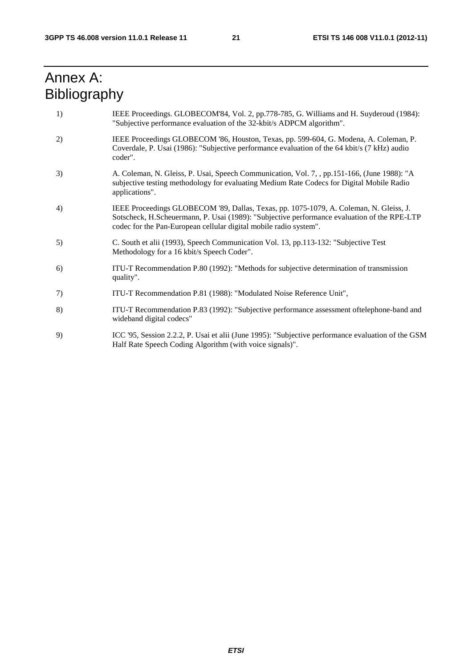# Annex A: Bibliography

- 1) IEEE Proceedings. GLOBECOM'84, Vol. 2, pp.778-785, G. Williams and H. Suyderoud (1984): "Subjective performance evaluation of the 32-kbit/s ADPCM algorithm".
- 2) IEEE Proceedings GLOBECOM '86, Houston, Texas, pp. 599-604, G. Modena, A. Coleman, P. Coverdale, P. Usai (1986): "Subjective performance evaluation of the 64 kbit/s (7 kHz) audio coder".
- 3) A. Coleman, N. Gleiss, P. Usai, Speech Communication, Vol. 7, , pp.151-166, (June 1988): "A subjective testing methodology for evaluating Medium Rate Codecs for Digital Mobile Radio applications".
- 4) IEEE Proceedings GLOBECOM '89, Dallas, Texas, pp. 1075-1079, A. Coleman, N. Gleiss, J. Sotscheck, H.Scheuermann, P. Usai (1989): "Subjective performance evaluation of the RPE-LTP codec for the Pan-European cellular digital mobile radio system".
- 5) C. South et alii (1993), Speech Communication Vol. 13, pp.113-132: "Subjective Test Methodology for a 16 kbit/s Speech Coder".
- 6) ITU-T Recommendation P.80 (1992): "Methods for subjective determination of transmission quality".
- 7) ITU-T Recommendation P.81 (1988): "Modulated Noise Reference Unit",
- 8) ITU-T Recommendation P.83 (1992): "Subjective performance assessment oftelephone-band and wideband digital codecs"
- 9) ICC '95, Session 2.2.2, P. Usai et alii (June 1995): "Subjective performance evaluation of the GSM Half Rate Speech Coding Algorithm (with voice signals)".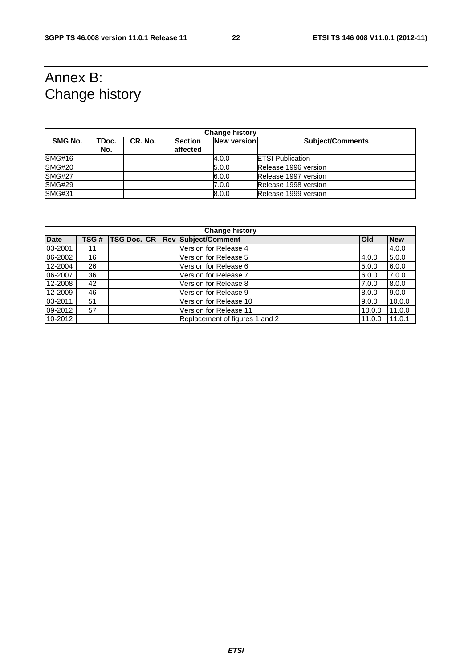# Annex B: Change history

| <b>Change history</b> |              |         |                            |                    |                         |  |  |  |
|-----------------------|--------------|---------|----------------------------|--------------------|-------------------------|--|--|--|
| SMG No.               | TDoc.<br>No. | CR. No. | <b>Section</b><br>affected | <b>New version</b> | <b>Subject/Comments</b> |  |  |  |
| SMG#16                |              |         |                            | 4.0.0              | <b>ETSI Publication</b> |  |  |  |
| <b>SMG#20</b>         |              |         |                            | 5.0.0              | Release 1996 version    |  |  |  |
| <b>SMG#27</b>         |              |         |                            | 6.0.0              | Release 1997 version    |  |  |  |
| <b>SMG#29</b>         |              |         |                            | 7.0.0              | Release 1998 version    |  |  |  |
| <b>SMG#31</b>         |              |         |                            | 8.0.0              | Release 1999 version    |  |  |  |

| <b>Change history</b> |      |  |  |  |                                        |            |            |  |  |
|-----------------------|------|--|--|--|----------------------------------------|------------|------------|--|--|
| <b>Date</b>           | TSG# |  |  |  | <b>TSG Doc. CR Rev Subject/Comment</b> | <b>Old</b> | <b>New</b> |  |  |
| 03-2001               | 11   |  |  |  | Version for Release 4                  |            | 4.0.0      |  |  |
| 06-2002               | 16   |  |  |  | Version for Release 5                  | 4.0.0      | 5.0.0      |  |  |
| 12-2004               | 26   |  |  |  | Version for Release 6                  | 5.0.0      | 6.0.0      |  |  |
| 06-2007               | 36   |  |  |  | Version for Release 7                  | 6.0.0      | 7.0.0      |  |  |
| 12-2008               | 42   |  |  |  | Version for Release 8                  | 7.0.0      | 8.0.0      |  |  |
| 12-2009               | 46   |  |  |  | Version for Release 9                  | 8.0.0      | 9.0.0      |  |  |
| 03-2011               | 51   |  |  |  | Version for Release 10                 | 9.0.0      | 10.0.0     |  |  |
| 09-2012               | 57   |  |  |  | Version for Release 11                 | 10.0.0     | 11.0.0     |  |  |
| 10-2012               |      |  |  |  | Replacement of figures 1 and 2         | 11.0.0     | 11.0.1     |  |  |